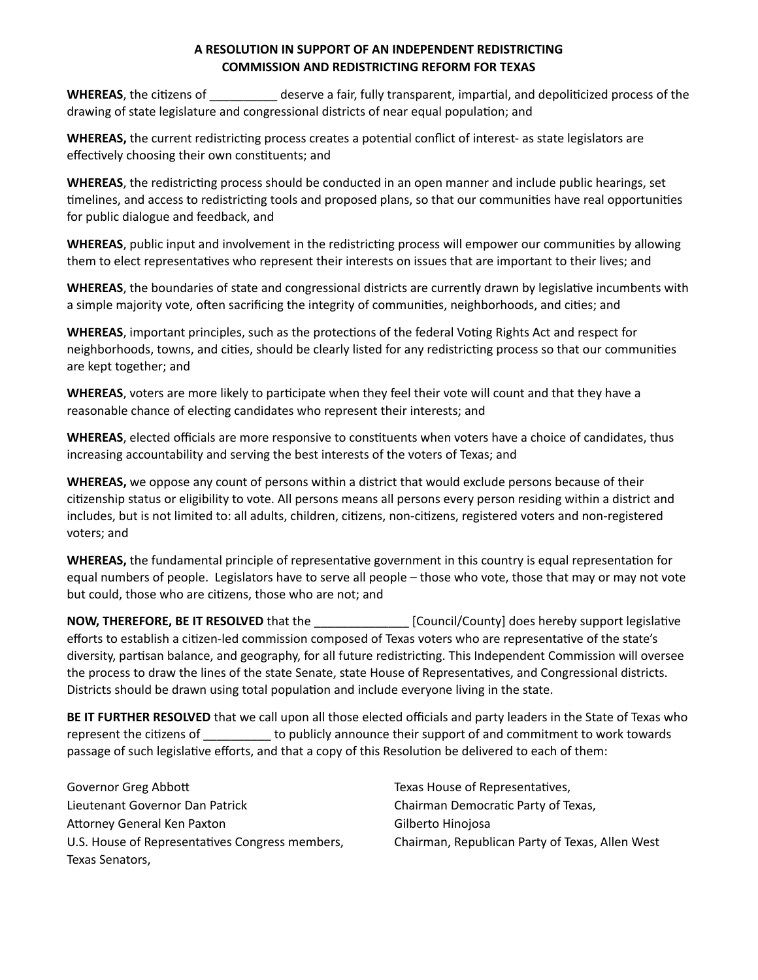## **A RESOLUTION IN SUPPORT OF AN INDEPENDENT REDISTRICTING COMMISSION AND REDISTRICTING REFORM FOR TEXAS**

**WHEREAS**, the citizens of **we are a fair, fully transparent**, impartial, and depoliticized process of the drawing of state legislature and congressional districts of near equal population; and

**WHEREAS,** the current redistricting process creates a potential conflict of interest- as state legislators are effectively choosing their own constituents; and

**WHEREAS**, the redistricting process should be conducted in an open manner and include public hearings, set timelines, and access to redistricting tools and proposed plans, so that our communities have real opportunities for public dialogue and feedback, and

**WHEREAS**, public input and involvement in the redistricting process will empower our communities by allowing them to elect representatives who represent their interests on issues that are important to their lives; and

WHEREAS, the boundaries of state and congressional districts are currently drawn by legislative incumbents with a simple majority vote, often sacrificing the integrity of communities, neighborhoods, and cities; and

**WHEREAS**, important principles, such as the protections of the federal Voting Rights Act and respect for neighborhoods, towns, and cities, should be clearly listed for any redistricting process so that our communities are kept together; and

**WHEREAS**, voters are more likely to participate when they feel their vote will count and that they have a reasonable chance of electing candidates who represent their interests; and

**WHEREAS**, elected officials are more responsive to constituents when voters have a choice of candidates, thus increasing accountability and serving the best interests of the voters of Texas; and

**WHEREAS,** we oppose any count of persons within a district that would exclude persons because of their citizenship status or eligibility to vote. All persons means all persons every person residing within a district and includes, but is not limited to: all adults, children, citizens, non-citizens, registered voters and non-registered voters; and

**WHEREAS,** the fundamental principle of representative government in this country is equal representation for equal numbers of people. Legislators have to serve all people – those who vote, those that may or may not vote but could, those who are citizens, those who are not; and

**NOW, THEREFORE, BE IT RESOLVED** that the *NOW, THEREFORE, BE IT RESOLVED* that the *support legislative* efforts to establish a citizen-led commission composed of Texas voters who are representative of the state's diversity, partisan balance, and geography, for all future redistricting. This Independent Commission will oversee the process to draw the lines of the state Senate, state House of Representatives, and Congressional districts. Districts should be drawn using total population and include everyone living in the state.

**BE IT FURTHER RESOLVED** that we call upon all those elected officials and party leaders in the State of Texas who represent the citizens of \_\_\_\_\_\_\_\_\_\_\_ to publicly announce their support of and commitment to work towards passage of such legislative efforts, and that a copy of this Resolution be delivered to each of them:

Governor Greg Abbott Lieutenant Governor Dan Patrick Attorney General Ken Paxton U.S. House of Representatives Congress members, Texas Senators,

Texas House of Representatives, Chairman Democratic Party of Texas, Gilberto Hinojosa Chairman, Republican Party of Texas, Allen West